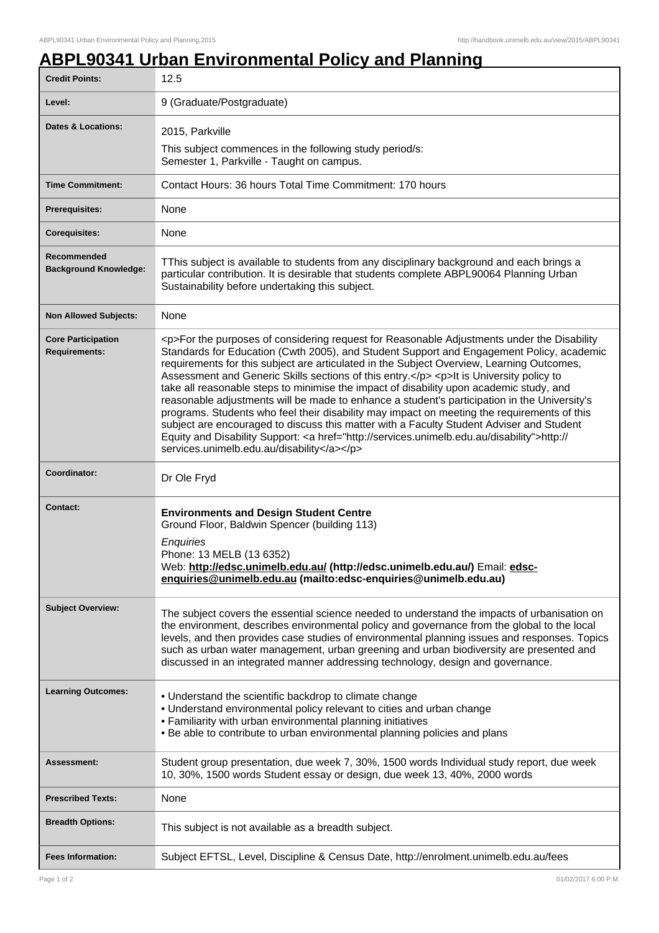## **ABPL90341 Urban Environmental Policy and Planning**

| <b>Credit Points:</b>                             | 12.5                                                                                                                                                                                                                                                                                                                                                                                                                                                                                                                                                                                                                                                                                                                                                                                                                                                                                                                         |
|---------------------------------------------------|------------------------------------------------------------------------------------------------------------------------------------------------------------------------------------------------------------------------------------------------------------------------------------------------------------------------------------------------------------------------------------------------------------------------------------------------------------------------------------------------------------------------------------------------------------------------------------------------------------------------------------------------------------------------------------------------------------------------------------------------------------------------------------------------------------------------------------------------------------------------------------------------------------------------------|
| Level:                                            | 9 (Graduate/Postgraduate)                                                                                                                                                                                                                                                                                                                                                                                                                                                                                                                                                                                                                                                                                                                                                                                                                                                                                                    |
| <b>Dates &amp; Locations:</b>                     | 2015, Parkville                                                                                                                                                                                                                                                                                                                                                                                                                                                                                                                                                                                                                                                                                                                                                                                                                                                                                                              |
|                                                   | This subject commences in the following study period/s:<br>Semester 1, Parkville - Taught on campus.                                                                                                                                                                                                                                                                                                                                                                                                                                                                                                                                                                                                                                                                                                                                                                                                                         |
| <b>Time Commitment:</b>                           | Contact Hours: 36 hours Total Time Commitment: 170 hours                                                                                                                                                                                                                                                                                                                                                                                                                                                                                                                                                                                                                                                                                                                                                                                                                                                                     |
| Prerequisites:                                    | None                                                                                                                                                                                                                                                                                                                                                                                                                                                                                                                                                                                                                                                                                                                                                                                                                                                                                                                         |
| <b>Corequisites:</b>                              | None                                                                                                                                                                                                                                                                                                                                                                                                                                                                                                                                                                                                                                                                                                                                                                                                                                                                                                                         |
| Recommended<br><b>Background Knowledge:</b>       | TThis subject is available to students from any disciplinary background and each brings a<br>particular contribution. It is desirable that students complete ABPL90064 Planning Urban<br>Sustainability before undertaking this subject.                                                                                                                                                                                                                                                                                                                                                                                                                                                                                                                                                                                                                                                                                     |
| <b>Non Allowed Subjects:</b>                      | None                                                                                                                                                                                                                                                                                                                                                                                                                                                                                                                                                                                                                                                                                                                                                                                                                                                                                                                         |
| <b>Core Participation</b><br><b>Requirements:</b> | <p>For the purposes of considering request for Reasonable Adjustments under the Disability<br/>Standards for Education (Cwth 2005), and Student Support and Engagement Policy, academic<br/>requirements for this subject are articulated in the Subject Overview, Learning Outcomes,<br/>Assessment and Generic Skills sections of this entry.</p> <p>It is University policy to<br/>take all reasonable steps to minimise the impact of disability upon academic study, and<br/>reasonable adjustments will be made to enhance a student's participation in the University's<br/>programs. Students who feel their disability may impact on meeting the requirements of this<br/>subject are encouraged to discuss this matter with a Faculty Student Adviser and Student<br/>Equity and Disability Support: &lt; a href="http://services.unimelb.edu.au/disability"&gt;http://<br/>services.unimelb.edu.au/disability</p> |
| Coordinator:                                      | Dr Ole Fryd                                                                                                                                                                                                                                                                                                                                                                                                                                                                                                                                                                                                                                                                                                                                                                                                                                                                                                                  |
| <b>Contact:</b>                                   | <b>Environments and Design Student Centre</b><br>Ground Floor, Baldwin Spencer (building 113)<br>Enquiries<br>Phone: 13 MELB (13 6352)<br>Web: http://edsc.unimelb.edu.au/ (http://edsc.unimelb.edu.au/) Email: edsc-<br>enquiries@unimelb.edu.au (mailto:edsc-enquiries@unimelb.edu.au)                                                                                                                                                                                                                                                                                                                                                                                                                                                                                                                                                                                                                                     |
| <b>Subject Overview:</b>                          | The subject covers the essential science needed to understand the impacts of urbanisation on<br>the environment, describes environmental policy and governance from the global to the local<br>levels, and then provides case studies of environmental planning issues and responses. Topics<br>such as urban water management, urban greening and urban biodiversity are presented and<br>discussed in an integrated manner addressing technology, design and governance.                                                                                                                                                                                                                                                                                                                                                                                                                                                   |
| <b>Learning Outcomes:</b>                         | • Understand the scientific backdrop to climate change<br>. Understand environmental policy relevant to cities and urban change<br>• Familiarity with urban environmental planning initiatives<br>. Be able to contribute to urban environmental planning policies and plans                                                                                                                                                                                                                                                                                                                                                                                                                                                                                                                                                                                                                                                 |
| Assessment:                                       | Student group presentation, due week 7, 30%, 1500 words Individual study report, due week<br>10, 30%, 1500 words Student essay or design, due week 13, 40%, 2000 words                                                                                                                                                                                                                                                                                                                                                                                                                                                                                                                                                                                                                                                                                                                                                       |
| <b>Prescribed Texts:</b>                          | None                                                                                                                                                                                                                                                                                                                                                                                                                                                                                                                                                                                                                                                                                                                                                                                                                                                                                                                         |
| <b>Breadth Options:</b>                           | This subject is not available as a breadth subject.                                                                                                                                                                                                                                                                                                                                                                                                                                                                                                                                                                                                                                                                                                                                                                                                                                                                          |
| <b>Fees Information:</b>                          | Subject EFTSL, Level, Discipline & Census Date, http://enrolment.unimelb.edu.au/fees                                                                                                                                                                                                                                                                                                                                                                                                                                                                                                                                                                                                                                                                                                                                                                                                                                         |